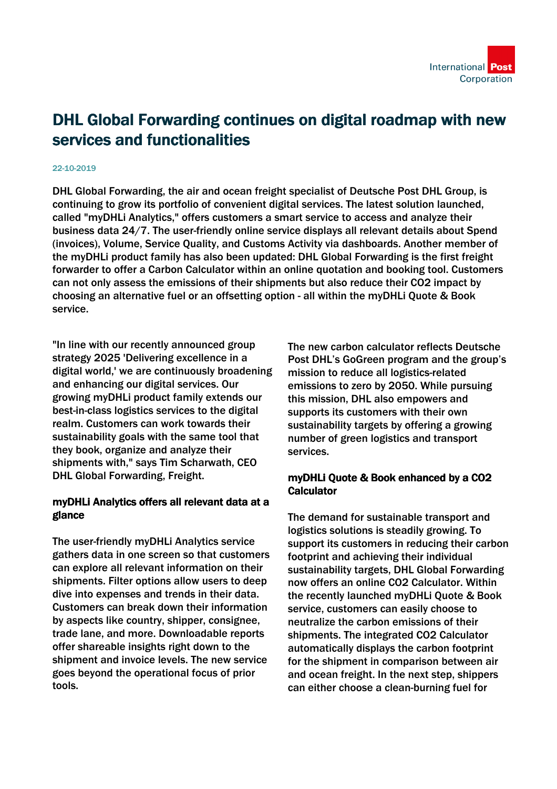

## DHL Global Forwarding continues on digital roadmap with new services and functionalities

## 22-10-2019

DHL Global Forwarding, the air and ocean freight specialist of Deutsche Post DHL Group, is continuing to grow its portfolio of convenient digital services. The latest solution launched, called "myDHLi Analytics," offers customers a smart service to access and analyze their business data 24/7. The user-friendly online service displays all relevant details about Spend (invoices), Volume, Service Quality, and Customs Activity via dashboards. Another member of the myDHLi product family has also been updated: DHL Global Forwarding is the first freight forwarder to offer a Carbon Calculator within an online quotation and booking tool. Customers can not only assess the emissions of their shipments but also reduce their CO2 impact by choosing an alternative fuel or an offsetting option - all within the myDHLi Quote & Book service.

"In line with our recently announced group strategy 2025 'Delivering excellence in a digital world,' we are continuously broadening and enhancing our digital services. Our growing myDHLi product family extends our best-in-class logistics services to the digital realm. Customers can work towards their sustainability goals with the same tool that they book, organize and analyze their shipments with," says Tim Scharwath, CEO DHL Global Forwarding, Freight.

## myDHLi Analytics offers all relevant data at a glance

The user-friendly myDHLi Analytics service gathers data in one screen so that customers can explore all relevant information on their shipments. Filter options allow users to deep dive into expenses and trends in their data. Customers can break down their information by aspects like country, shipper, consignee, trade lane, and more. Downloadable reports offer shareable insights right down to the shipment and invoice levels. The new service goes beyond the operational focus of prior tools.

The new carbon calculator reflects Deutsche Post DHL's GoGreen program and the group's mission to reduce all logistics-related emissions to zero by 2050. While pursuing this mission, DHL also empowers and supports its customers with their own sustainability targets by offering a growing number of green logistics and transport services.

## myDHLi Quote & Book enhanced by a CO2 **Calculator**

The demand for sustainable transport and logistics solutions is steadily growing. To support its customers in reducing their carbon footprint and achieving their individual sustainability targets, DHL Global Forwarding now offers an online CO2 Calculator. Within the recently launched myDHLi Quote & Book service, customers can easily choose to neutralize the carbon emissions of their shipments. The integrated CO2 Calculator automatically displays the carbon footprint for the shipment in comparison between air and ocean freight. In the next step, shippers can either choose a clean-burning fuel for